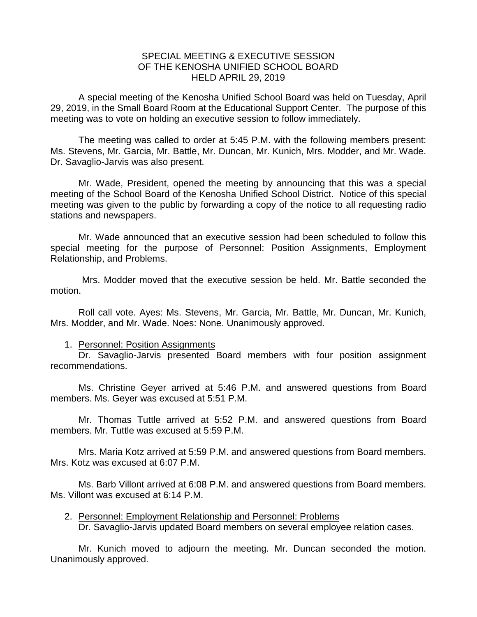## SPECIAL MEETING & EXECUTIVE SESSION OF THE KENOSHA UNIFIED SCHOOL BOARD HELD APRIL 29, 2019

A special meeting of the Kenosha Unified School Board was held on Tuesday, April 29, 2019, in the Small Board Room at the Educational Support Center. The purpose of this meeting was to vote on holding an executive session to follow immediately.

The meeting was called to order at 5:45 P.M. with the following members present: Ms. Stevens, Mr. Garcia, Mr. Battle, Mr. Duncan, Mr. Kunich, Mrs. Modder, and Mr. Wade. Dr. Savaglio-Jarvis was also present.

Mr. Wade, President, opened the meeting by announcing that this was a special meeting of the School Board of the Kenosha Unified School District. Notice of this special meeting was given to the public by forwarding a copy of the notice to all requesting radio stations and newspapers.

Mr. Wade announced that an executive session had been scheduled to follow this special meeting for the purpose of Personnel: Position Assignments, Employment Relationship, and Problems.

Mrs. Modder moved that the executive session be held. Mr. Battle seconded the motion.

Roll call vote. Ayes: Ms. Stevens, Mr. Garcia, Mr. Battle, Mr. Duncan, Mr. Kunich, Mrs. Modder, and Mr. Wade. Noes: None. Unanimously approved.

## 1. Personnel: Position Assignments

Dr. Savaglio-Jarvis presented Board members with four position assignment recommendations.

Ms. Christine Geyer arrived at 5:46 P.M. and answered questions from Board members. Ms. Geyer was excused at 5:51 P.M.

Mr. Thomas Tuttle arrived at 5:52 P.M. and answered questions from Board members. Mr. Tuttle was excused at 5:59 P.M.

Mrs. Maria Kotz arrived at 5:59 P.M. and answered questions from Board members. Mrs. Kotz was excused at 6:07 P.M.

Ms. Barb Villont arrived at 6:08 P.M. and answered questions from Board members. Ms. Villont was excused at 6:14 P.M.

2. Personnel: Employment Relationship and Personnel: Problems Dr. Savaglio-Jarvis updated Board members on several employee relation cases.

Mr. Kunich moved to adjourn the meeting. Mr. Duncan seconded the motion. Unanimously approved.